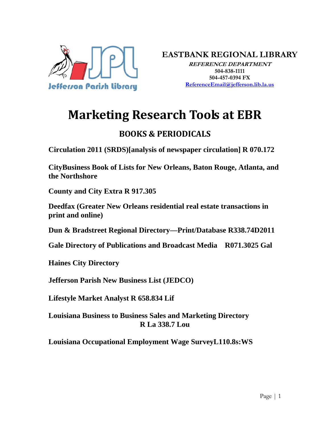

**EASTBANK REGIONAL LIBRARY**

**REFERENCE DEPARTMENT 504-838-1111 504-457-0394 FX ReferenceEmail@jefferson.lib.la.us**

# **Marketing Research Tools at EBR**

## **BOOKS & PERIODICALS**

**Circulation 2011 (SRDS)[analysis of newspaper circulation] R 070.172** 

**CityBusiness Book of Lists for New Orleans, Baton Rouge, Atlanta, and the Northshore** 

**County and City Extra R 917.305** 

**Deedfax (Greater New Orleans residential real estate transactions in print and online)** 

**Dun & Bradstreet Regional Directory—Print/Database R338.74D2011** 

**Gale Directory of Publications and Broadcast Media R071.3025 Gal** 

**Haines City Directory** 

**Jefferson Parish New Business List (JEDCO)** 

**Lifestyle Market Analyst R 658.834 Lif** 

**Louisiana Business to Business Sales and Marketing Directory R La 338.7 Lou** 

**Louisiana Occupational Employment Wage SurveyL110.8s:WS**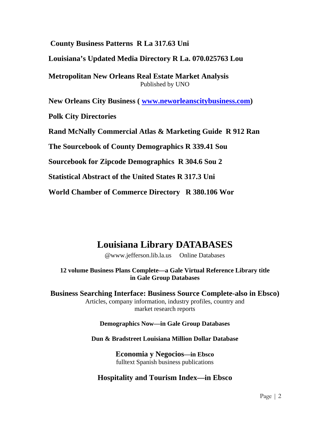#### **County Business Patterns R La 317.63 Uni**

**Louisiana's Updated Media Directory R La. 070.025763 Lou** 

**Metropolitan New Orleans Real Estate Market Analysis**  Published by UNO

**New Orleans City Business ( www.neworleanscitybusiness.com)** 

**Polk City Directories** 

**Rand McNally Commercial Atlas & Marketing Guide R 912 Ran** 

**The Sourcebook of County Demographics R 339.41 Sou** 

**Sourcebook for Zipcode Demographics R 304.6 Sou 2** 

**Statistical Abstract of the United States R 317.3 Uni** 

**World Chamber of Commerce Directory R 380.106 Wor** 

# **Louisiana Library DATABASES**

@www.jefferson.lib.la.us Online Databases

**12 volume Business Plans Complete—a Gale Virtual Reference Library title in Gale Group Databases** 

**Business Searching Interface: Business Source Complete-also in Ebsco)**  Articles, company information, industry profiles, country and market research reports

#### **Demographics Now—in Gale Group Databases**

**Dun & Bradstreet Louisiana Million Dollar Database** 

**Economia y Negocios—in Ebsco**  fulltext Spanish business publications

#### **Hospitality and Tourism Index—in Ebsco**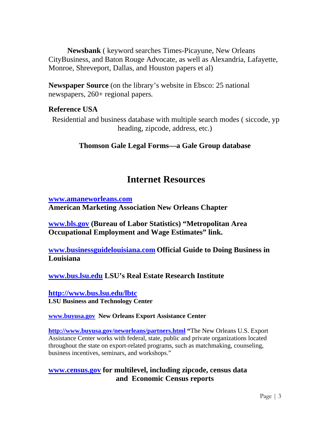**Newsbank** ( keyword searches Times-Picayune, New Orleans CityBusiness, and Baton Rouge Advocate, as well as Alexandria, Lafayette, Monroe, Shreveport, Dallas, and Houston papers et al)

**Newspaper Source** (on the library's website in Ebsco: 25 national newspapers, 260+ regional papers*.* 

#### **Reference USA**

 Residential and business database with multiple search modes ( siccode, yp heading, zipcode, address, etc.)

#### **Thomson Gale Legal Forms—a Gale Group database**

### **Internet Resources**

**www.amaneworleans.com American Marketing Association New Orleans Chapter** 

**www.bls.gov (Bureau of Labor Statistics) "Metropolitan Area Occupational Employment and Wage Estimates" link.** 

**www.businessguidelouisiana.com Official Guide to Doing Business in Louisiana** 

**www.bus.lsu.edu LSU's Real Estate Research Institute** 

**http://www.bus.lsu.edu/lbtc LSU Business and Technology Center** 

#### **www.buyusa.gov New Orleans Export Assistance Center**

**http://www.buyusa.gov/neworleans/partners.html "**The New Orleans U.S. Export Assistance Center works with federal, state, public and private organizations located throughout the state on export-related programs, such as matchmaking, counseling, business incentives, seminars, and workshops."

#### **www.census.gov for multilevel, including zipcode, census data and Economic Census reports**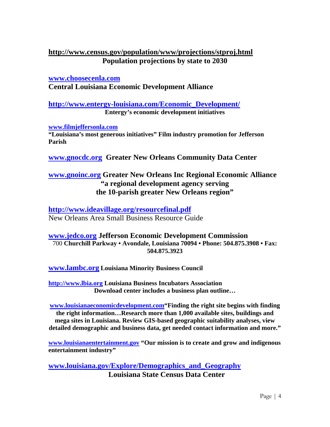#### **http://www.census.gov/population/www/projections/stproj.html Population projections by state to 2030**

**www.choosecenla.com Central Louisiana Economic Development Alliance** 

**http://www.entergy-louisiana.com/Economic\_Development/ Entergy's economic development initiatives** 

**www.filmjeffersonla.com "Louisiana's most generous initiatives" Film industry promotion for Jefferson Parish** 

**www.gnocdc.org Greater New Orleans Community Data Center** 

#### **www.gnoinc.org Greater New Orleans Inc Regional Economic Alliance "a regional development agency serving the 10-parish greater New Orleans region"**

**http://www.ideavillage.org/resourcefinal.pdf**  New Orleans Area Small Business Resource Guide

#### **www.jedco.org Jefferson Economic Development Commission**  700 **Churchill Parkway • Avondale, Louisiana 70094 • Phone: 504.875.3908 • Fax: 504.875.3923**

**www.lambc.org Louisiana Minority Business Council** 

**http://www.lbia.org Louisiana Business Incubators Association Download center includes a business plan outline…** 

**www.louisianaeconomicdevelopment.com"Finding the right site begins with finding the right information…Research more than 1,000 available sites, buildings and mega sites in Louisiana. Review GIS-based geographic suitability analyses, view detailed demographic and business data, get needed contact information and more."** 

**www.louisianaentertainment.gov "Our mission is to create and grow and indigenous entertainment industry"** 

**www.louisiana.gov/Explore/Demographics\_and\_Geography Louisiana State Census Data Center**